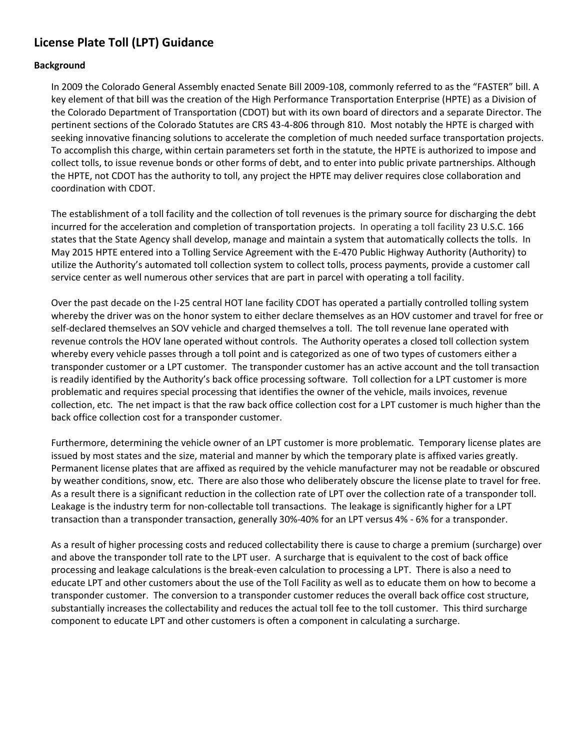## **License Plate Toll (LPT) Guidance**

## **Background**

In 2009 the Colorado General Assembly enacted Senate Bill 2009-108, commonly referred to as the "FASTER" bill. A key element of that bill was the creation of the High Performance Transportation Enterprise (HPTE) as a Division of the Colorado Department of Transportation (CDOT) but with its own board of directors and a separate Director. The pertinent sections of the Colorado Statutes are CRS 43-4-806 through 810. Most notably the HPTE is charged with seeking innovative financing solutions to accelerate the completion of much needed surface transportation projects. To accomplish this charge, within certain parameters set forth in the statute, the HPTE is authorized to impose and collect tolls, to issue revenue bonds or other forms of debt, and to enter into public private partnerships. Although the HPTE, not CDOT has the authority to toll, any project the HPTE may deliver requires close collaboration and coordination with CDOT.

The establishment of a toll facility and the collection of toll revenues is the primary source for discharging the debt incurred for the acceleration and completion of transportation projects. In operating a toll facility 23 U.S.C. 166 states that the State Agency shall develop, manage and maintain a system that automatically collects the tolls. In May 2015 HPTE entered into a Tolling Service Agreement with the E-470 Public Highway Authority (Authority) to utilize the Authority's automated toll collection system to collect tolls, process payments, provide a customer call service center as well numerous other services that are part in parcel with operating a toll facility.

Over the past decade on the I-25 central HOT lane facility CDOT has operated a partially controlled tolling system whereby the driver was on the honor system to either declare themselves as an HOV customer and travel for free or self-declared themselves an SOV vehicle and charged themselves a toll. The toll revenue lane operated with revenue controls the HOV lane operated without controls. The Authority operates a closed toll collection system whereby every vehicle passes through a toll point and is categorized as one of two types of customers either a transponder customer or a LPT customer. The transponder customer has an active account and the toll transaction is readily identified by the Authority's back office processing software. Toll collection for a LPT customer is more problematic and requires special processing that identifies the owner of the vehicle, mails invoices, revenue collection, etc. The net impact is that the raw back office collection cost for a LPT customer is much higher than the back office collection cost for a transponder customer.

Furthermore, determining the vehicle owner of an LPT customer is more problematic. Temporary license plates are issued by most states and the size, material and manner by which the temporary plate is affixed varies greatly. Permanent license plates that are affixed as required by the vehicle manufacturer may not be readable or obscured by weather conditions, snow, etc. There are also those who deliberately obscure the license plate to travel for free. As a result there is a significant reduction in the collection rate of LPT over the collection rate of a transponder toll. Leakage is the industry term for non-collectable toll transactions. The leakage is significantly higher for a LPT transaction than a transponder transaction, generally 30%-40% for an LPT versus 4% - 6% for a transponder.

As a result of higher processing costs and reduced collectability there is cause to charge a premium (surcharge) over and above the transponder toll rate to the LPT user. A surcharge that is equivalent to the cost of back office processing and leakage calculations is the break-even calculation to processing a LPT. There is also a need to educate LPT and other customers about the use of the Toll Facility as well as to educate them on how to become a transponder customer. The conversion to a transponder customer reduces the overall back office cost structure, substantially increases the collectability and reduces the actual toll fee to the toll customer. This third surcharge component to educate LPT and other customers is often a component in calculating a surcharge.